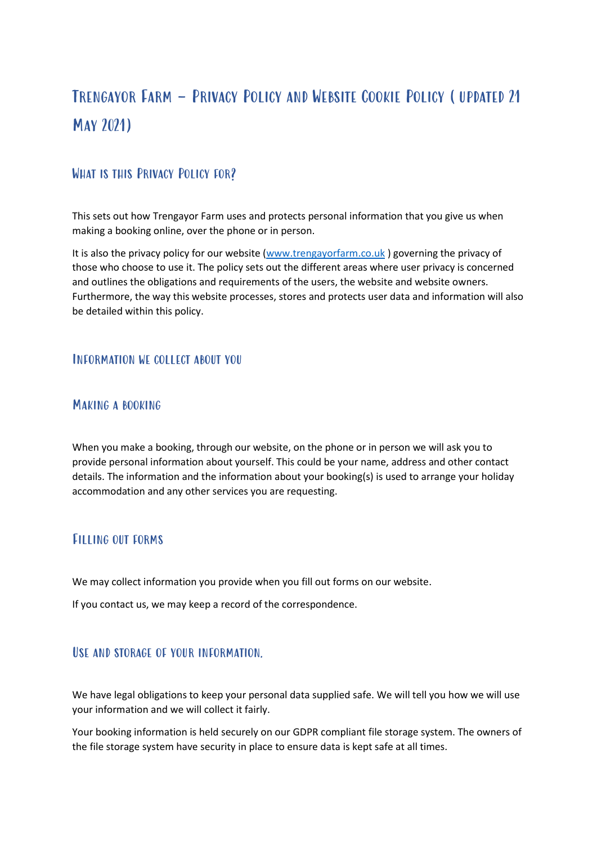# Trengayor Farm – Privacy Policy and Website Cookie Policy (updated 21 May 2021)

# WHAT IS THIS PRIVACY POLICY FOR?

This sets out how Trengayor Farm uses and protects personal information that you give us when making a booking online, over the phone or in person.

It is also the privacy policy for our website [\(www.trengayorfarm.co.uk](http://www.trengayorfarm.co.uk/)) governing the privacy of those who choose to use it. The policy sets out the different areas where user privacy is concerned and outlines the obligations and requirements of the users, the website and website owners. Furthermore, the way this website processes, stores and protects user data and information will also be detailed within this policy.

#### Information we collect about you

#### Making a booking

When you make a booking, through our website, on the phone or in person we will ask you to provide personal information about yourself. This could be your name, address and other contact details. The information and the information about your booking(s) is used to arrange your holiday accommodation and any other services you are requesting.

### Filling out forms

We may collect information you provide when you fill out forms on our website.

If you contact us, we may keep a record of the correspondence.

### USE AND STORAGE OF YOUR INFORMATION.

We have legal obligations to keep your personal data supplied safe. We will tell you how we will use your information and we will collect it fairly.

Your booking information is held securely on our GDPR compliant file storage system. The owners of the file storage system have security in place to ensure data is kept safe at all times.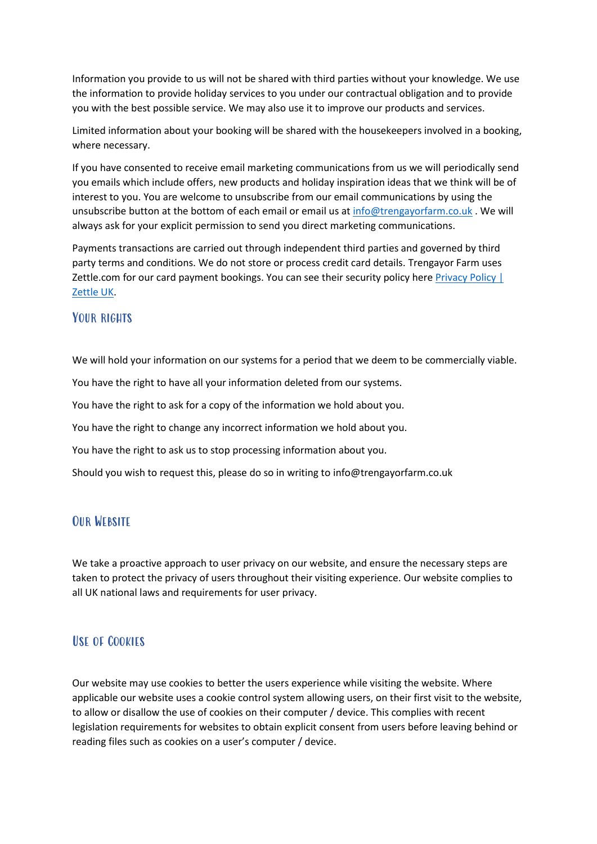Information you provide to us will not be shared with third parties without your knowledge. We use the information to provide holiday services to you under our contractual obligation and to provide you with the best possible service. We may also use it to improve our products and services.

Limited information about your booking will be shared with the housekeepers involved in a booking, where necessary.

If you have consented to receive email marketing communications from us we will periodically send you emails which include offers, new products and holiday inspiration ideas that we think will be of interest to you. You are welcome to unsubscribe from our email communications by using the unsubscribe button at the bottom of each email or email us at [info@trengayorfarm.co.uk](mailto:info@trengayorfarm.co.uk). We will always ask for your explicit permission to send you direct marketing communications.

Payments transactions are carried out through independent third parties and governed by third party terms and conditions. We do not store or process credit card details. Trengayor Farm uses Zettle.com for our card payment bookings. You can see their security policy here [Privacy Policy |](https://www.zettle.com/gb/legal/privacy-policy)  [Zettle UK.](https://www.zettle.com/gb/legal/privacy-policy)

## YOUR RIGUTS

We will hold your information on our systems for a period that we deem to be commercially viable.

You have the right to have all your information deleted from our systems.

You have the right to ask for a copy of the information we hold about you.

You have the right to change any incorrect information we hold about you.

You have the right to ask us to stop processing information about you.

Should you wish to request this, please do so in writing to info@trengayorfarm.co.uk

# Our Website

We take a proactive approach to user privacy on our website, and ensure the necessary steps are taken to protect the privacy of users throughout their visiting experience. Our website complies to all UK national laws and requirements for user privacy.

# Use of Cookies

Our website may use cookies to better the users experience while visiting the website. Where applicable our website uses a cookie control system allowing users, on their first visit to the website, to allow or disallow the use of cookies on their computer / device. This complies with recent legislation requirements for websites to obtain explicit consent from users before leaving behind or reading files such as cookies on a user's computer / device.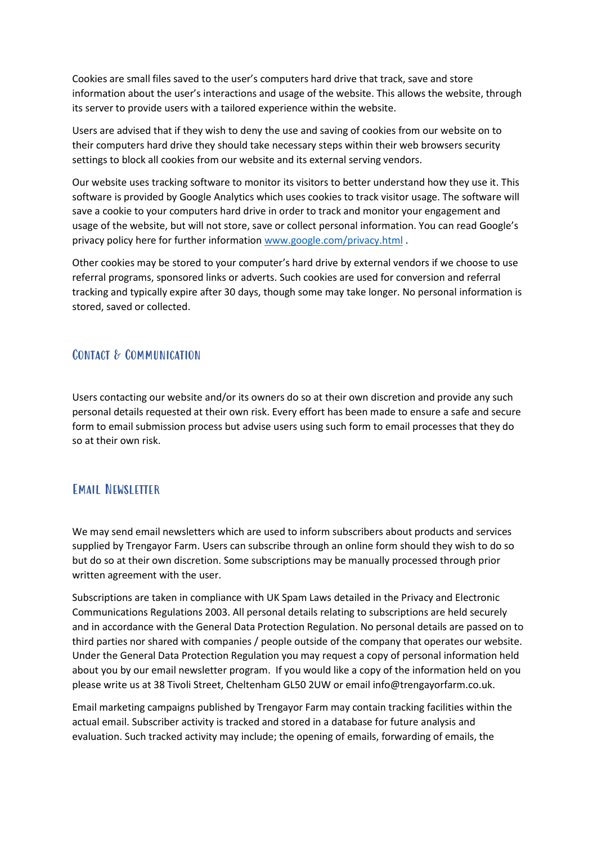Cookies are small files saved to the user's computers hard drive that track, save and store information about the user's interactions and usage of the website. This allows the website, through its server to provide users with a tailored experience within the website.

Users are advised that if they wish to deny the use and saving of cookies from our website on to their computers hard drive they should take necessary steps within their web browsers security settings to block all cookies from our website and its external serving vendors.

Our website uses tracking software to monitor its visitors to better understand how they use it. This software is provided by Google Analytics which uses cookies to track visitor usage. The software will save a cookie to your computers hard drive in order to track and monitor your engagement and usage of the website, but will not store, save or collect personal information. You can read Google's privacy policy here for further informatio[n www.google.com/privacy.html](http://www.google.com/privacy.html) .

Other cookies may be stored to your computer's hard drive by external vendors if we choose to use referral programs, sponsored links or adverts. Such cookies are used for conversion and referral tracking and typically expire after 30 days, though some may take longer. No personal information is stored, saved or collected.

### Contact & Communication

Users contacting our website and/or its owners do so at their own discretion and provide any such personal details requested at their own risk. Every effort has been made to ensure a safe and secure form to email submission process but advise users using such form to email processes that they do so at their own risk.

### Email Newsletter

We may send email newsletters which are used to inform subscribers about products and services supplied by Trengayor Farm. Users can subscribe through an online form should they wish to do so but do so at their own discretion. Some subscriptions may be manually processed through prior written agreement with the user.

Subscriptions are taken in compliance with UK Spam Laws detailed in the Privacy and Electronic Communications Regulations 2003. All personal details relating to subscriptions are held securely and in accordance with the General Data Protection Regulation. No personal details are passed on to third parties nor shared with companies / people outside of the company that operates our website. Under the General Data Protection Regulation you may request a copy of personal information held about you by our email newsletter program. If you would like a copy of the information held on you please write us at 38 Tivoli Street, Cheltenham GL50 2UW or email info@trengayorfarm.co.uk.

Email marketing campaigns published by Trengayor Farm may contain tracking facilities within the actual email. Subscriber activity is tracked and stored in a database for future analysis and evaluation. Such tracked activity may include; the opening of emails, forwarding of emails, the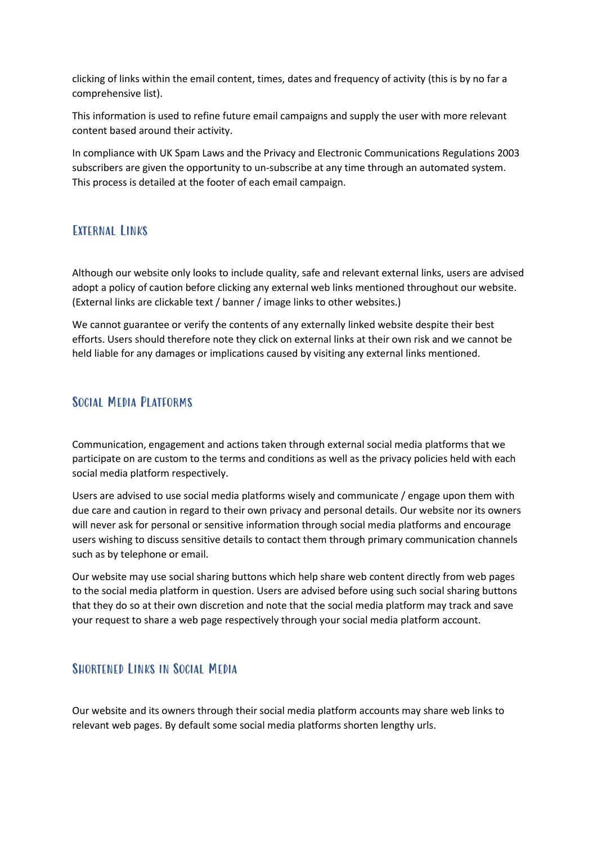clicking of links within the email content, times, dates and frequency of activity (this is by no far a comprehensive list).

This information is used to refine future email campaigns and supply the user with more relevant content based around their activity.

In compliance with UK Spam Laws and the Privacy and Electronic Communications Regulations 2003 subscribers are given the opportunity to un-subscribe at any time through an automated system. This process is detailed at the footer of each email campaign.

### EXTERNAL LINKS

Although our website only looks to include quality, safe and relevant external links, users are advised adopt a policy of caution before clicking any external web links mentioned throughout our website. (External links are clickable text / banner / image links to other websites.)

We cannot guarantee or verify the contents of any externally linked website despite their best efforts. Users should therefore note they click on external links at their own risk and we cannot be held liable for any damages or implications caused by visiting any external links mentioned.

## Social Media Platforms

Communication, engagement and actions taken through external social media platforms that we participate on are custom to the terms and conditions as well as the privacy policies held with each social media platform respectively.

Users are advised to use social media platforms wisely and communicate / engage upon them with due care and caution in regard to their own privacy and personal details. Our website nor its owners will never ask for personal or sensitive information through social media platforms and encourage users wishing to discuss sensitive details to contact them through primary communication channels such as by telephone or email.

Our website may use social sharing buttons which help share web content directly from web pages to the social media platform in question. Users are advised before using such social sharing buttons that they do so at their own discretion and note that the social media platform may track and save your request to share a web page respectively through your social media platform account.

# SHORTENED LINKS IN SOCIAL MEDIA

Our website and its owners through their social media platform accounts may share web links to relevant web pages. By default some social media platforms shorten lengthy urls.